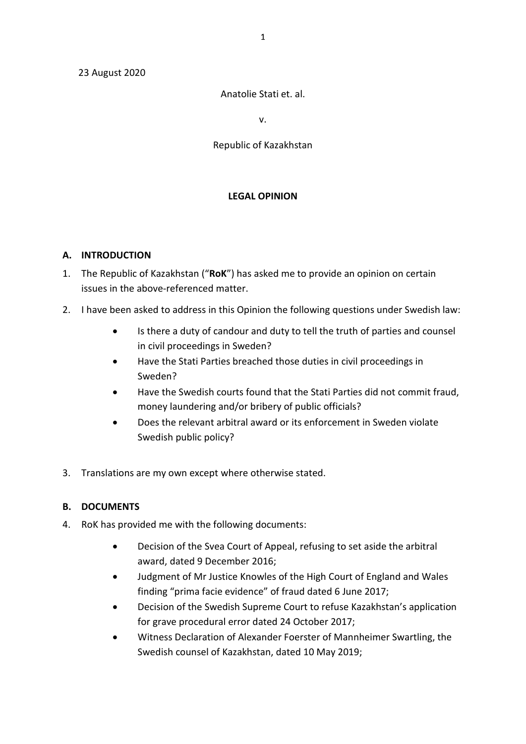#### 23 August 2020

#### Anatolie Stati et. al.

v.

#### Republic of Kazakhstan

#### **LEGAL OPINION**

#### **A. INTRODUCTION**

- 1. The Republic of Kazakhstan ("**RoK**") has asked me to provide an opinion on certain issues in the above-referenced matter.
- 2. I have been asked to address in this Opinion the following questions under Swedish law:
	- Is there a duty of candour and duty to tell the truth of parties and counsel in civil proceedings in Sweden?
	- Have the Stati Parties breached those duties in civil proceedings in Sweden?
	- Have the Swedish courts found that the Stati Parties did not commit fraud, money laundering and/or bribery of public officials?
	- Does the relevant arbitral award or its enforcement in Sweden violate Swedish public policy?
- 3. Translations are my own except where otherwise stated.

#### **B. DOCUMENTS**

- 4. RoK has provided me with the following documents:
	- Decision of the Svea Court of Appeal, refusing to set aside the arbitral award, dated 9 December 2016;
	- Judgment of Mr Justice Knowles of the High Court of England and Wales finding "prima facie evidence" of fraud dated 6 June 2017;
	- Decision of the Swedish Supreme Court to refuse Kazakhstan's application for grave procedural error dated 24 October 2017;
	- Witness Declaration of Alexander Foerster of Mannheimer Swartling, the Swedish counsel of Kazakhstan, dated 10 May 2019;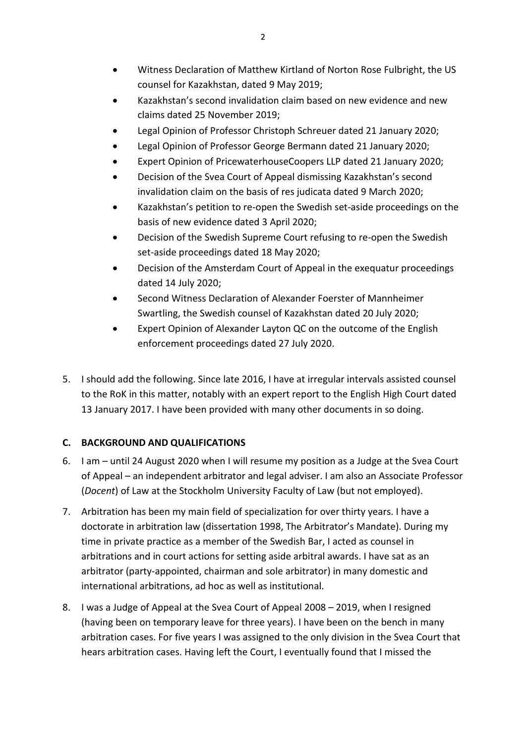- Witness Declaration of Matthew Kirtland of Norton Rose Fulbright, the US counsel for Kazakhstan, dated 9 May 2019;
- Kazakhstan's second invalidation claim based on new evidence and new claims dated 25 November 2019;
- Legal Opinion of Professor Christoph Schreuer dated 21 January 2020;
- Legal Opinion of Professor George Bermann dated 21 January 2020;
- Expert Opinion of PricewaterhouseCoopers LLP dated 21 January 2020;
- Decision of the Svea Court of Appeal dismissing Kazakhstan's second invalidation claim on the basis of res judicata dated 9 March 2020;
- Kazakhstan's petition to re-open the Swedish set-aside proceedings on the basis of new evidence dated 3 April 2020;
- Decision of the Swedish Supreme Court refusing to re-open the Swedish set-aside proceedings dated 18 May 2020;
- Decision of the Amsterdam Court of Appeal in the exequatur proceedings dated 14 July 2020;
- Second Witness Declaration of Alexander Foerster of Mannheimer Swartling, the Swedish counsel of Kazakhstan dated 20 July 2020;
- Expert Opinion of Alexander Layton QC on the outcome of the English enforcement proceedings dated 27 July 2020.
- 5. I should add the following. Since late 2016, I have at irregular intervals assisted counsel to the RoK in this matter, notably with an expert report to the English High Court dated 13 January 2017. I have been provided with many other documents in so doing.

# **C. BACKGROUND AND QUALIFICATIONS**

- 6. I am until 24 August 2020 when I will resume my position as a Judge at the Svea Court of Appeal – an independent arbitrator and legal adviser. I am also an Associate Professor (*Docent*) of Law at the Stockholm University Faculty of Law (but not employed).
- 7. Arbitration has been my main field of specialization for over thirty years. I have a doctorate in arbitration law (dissertation 1998, The Arbitrator's Mandate). During my time in private practice as a member of the Swedish Bar, I acted as counsel in arbitrations and in court actions for setting aside arbitral awards. I have sat as an arbitrator (party-appointed, chairman and sole arbitrator) in many domestic and international arbitrations, ad hoc as well as institutional.
- 8. I was a Judge of Appeal at the Svea Court of Appeal 2008 2019, when I resigned (having been on temporary leave for three years). I have been on the bench in many arbitration cases. For five years I was assigned to the only division in the Svea Court that hears arbitration cases. Having left the Court, I eventually found that I missed the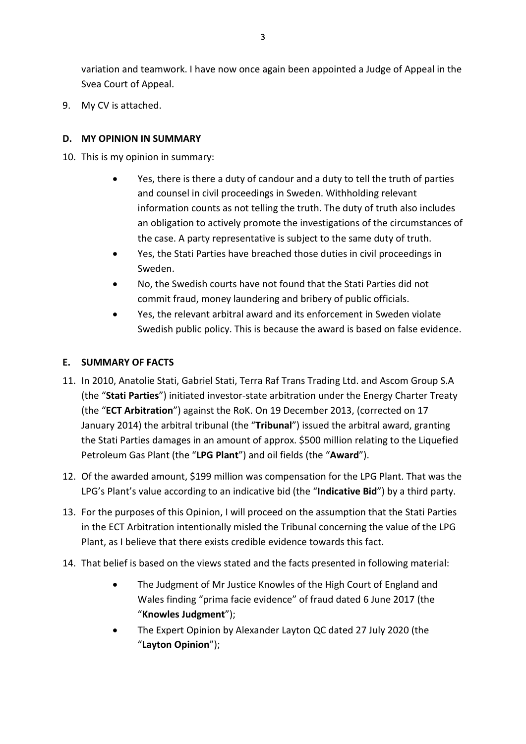variation and teamwork. I have now once again been appointed a Judge of Appeal in the Svea Court of Appeal.

9. My CV is attached.

## **D. MY OPINION IN SUMMARY**

- 10. This is my opinion in summary:
	- Yes, there is there a duty of candour and a duty to tell the truth of parties and counsel in civil proceedings in Sweden. Withholding relevant information counts as not telling the truth. The duty of truth also includes an obligation to actively promote the investigations of the circumstances of the case. A party representative is subject to the same duty of truth.
	- Yes, the Stati Parties have breached those duties in civil proceedings in Sweden.
	- No, the Swedish courts have not found that the Stati Parties did not commit fraud, money laundering and bribery of public officials.
	- Yes, the relevant arbitral award and its enforcement in Sweden violate Swedish public policy. This is because the award is based on false evidence.

## **E. SUMMARY OF FACTS**

- 11. In 2010, Anatolie Stati, Gabriel Stati, Terra Raf Trans Trading Ltd. and Ascom Group S.A (the "**Stati Parties**") initiated investor-state arbitration under the Energy Charter Treaty (the "**ECT Arbitration**") against the RoK. On 19 December 2013, (corrected on 17 January 2014) the arbitral tribunal (the "**Tribunal**") issued the arbitral award, granting the Stati Parties damages in an amount of approx. \$500 million relating to the Liquefied Petroleum Gas Plant (the "**LPG Plant**") and oil fields (the "**Award**").
- 12. Of the awarded amount, \$199 million was compensation for the LPG Plant. That was the LPG's Plant's value according to an indicative bid (the "**Indicative Bid**") by a third party.
- 13. For the purposes of this Opinion, I will proceed on the assumption that the Stati Parties in the ECT Arbitration intentionally misled the Tribunal concerning the value of the LPG Plant, as I believe that there exists credible evidence towards this fact.
- 14. That belief is based on the views stated and the facts presented in following material:
	- The Judgment of Mr Justice Knowles of the High Court of England and Wales finding "prima facie evidence" of fraud dated 6 June 2017 (the "**Knowles Judgment**");
	- The Expert Opinion by Alexander Layton QC dated 27 July 2020 (the "**Layton Opinion**");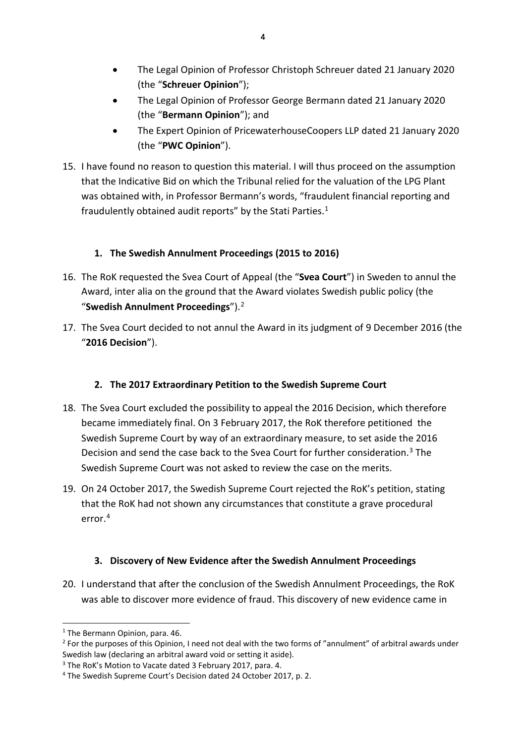- The Legal Opinion of Professor Christoph Schreuer dated 21 January 2020 (the "**Schreuer Opinion**");
- The Legal Opinion of Professor George Bermann dated 21 January 2020 (the "**Bermann Opinion**"); and
- The Expert Opinion of PricewaterhouseCoopers LLP dated 21 January 2020 (the "**PWC Opinion**").
- 15. I have found no reason to question this material. I will thus proceed on the assumption that the Indicative Bid on which the Tribunal relied for the valuation of the LPG Plant was obtained with, in Professor Bermann's words, "fraudulent financial reporting and fraudulently obtained audit reports" by the Stati Parties. $1$

# **1. The Swedish Annulment Proceedings (2015 to 2016)**

- 16. The RoK requested the Svea Court of Appeal (the "**Svea Court**") in Sweden to annul the Award, inter alia on the ground that the Award violates Swedish public policy (the "**Swedish Annulment Proceedings**").[2](#page-3-1)
- 17. The Svea Court decided to not annul the Award in its judgment of 9 December 2016 (the "**2016 Decision**").

# **2. The 2017 Extraordinary Petition to the Swedish Supreme Court**

- 18. The Svea Court excluded the possibility to appeal the 2016 Decision, which therefore became immediately final. On 3 February 2017, the RoK therefore petitioned the Swedish Supreme Court by way of an extraordinary measure, to set aside the 2016 Decision and send the case back to the Svea Court for further consideration.[3](#page-3-2) The Swedish Supreme Court was not asked to review the case on the merits.
- 19. On 24 October 2017, the Swedish Supreme Court rejected the RoK's petition, stating that the RoK had not shown any circumstances that constitute a grave procedural error.[4](#page-3-3)

# **3. Discovery of New Evidence after the Swedish Annulment Proceedings**

20. I understand that after the conclusion of the Swedish Annulment Proceedings, the RoK was able to discover more evidence of fraud. This discovery of new evidence came in

<sup>-</sup><sup>1</sup> The Bermann Opinion, para. 46.

<span id="page-3-1"></span><span id="page-3-0"></span><sup>&</sup>lt;sup>2</sup> For the purposes of this Opinion, I need not deal with the two forms of "annulment" of arbitral awards under Swedish law (declaring an arbitral award void or setting it aside).

<span id="page-3-2"></span><sup>&</sup>lt;sup>3</sup> The RoK's Motion to Vacate dated 3 February 2017, para. 4.

<span id="page-3-3"></span><sup>4</sup> The Swedish Supreme Court's Decision dated 24 October 2017, p. 2.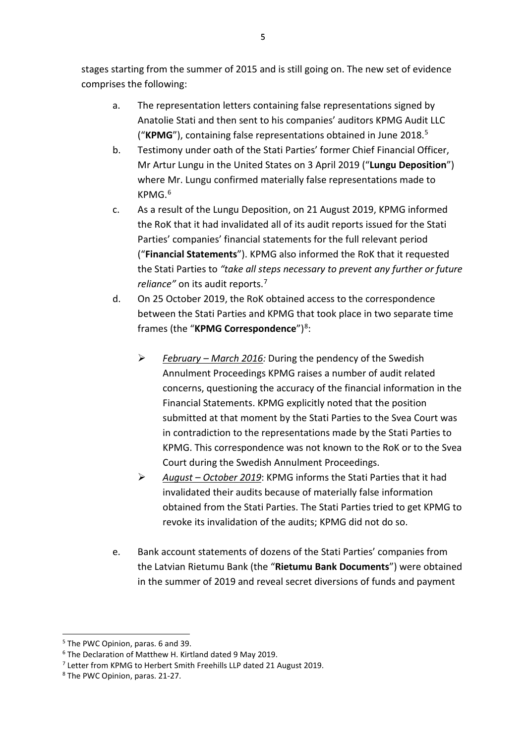stages starting from the summer of 2015 and is still going on. The new set of evidence comprises the following:

- a. The representation letters containing false representations signed by Anatolie Stati and then sent to his companies' auditors KPMG Audit LLC ("**KPMG**"), containing false representations obtained in June 2018. [5](#page-4-0)
- b. Testimony under oath of the Stati Parties' former Chief Financial Officer, Mr Artur Lungu in the United States on 3 April 2019 ("**Lungu Deposition**") where Mr. Lungu confirmed materially false representations made to KPMG. [6](#page-4-1)
- c. As a result of the Lungu Deposition, on 21 August 2019, KPMG informed the RoK that it had invalidated all of its audit reports issued for the Stati Parties' companies' financial statements for the full relevant period ("**Financial Statements**"). KPMG also informed the RoK that it requested the Stati Parties to *"take all steps necessary to prevent any further or future reliance"* on its audit reports.[7](#page-4-2)
- d. On 25 October 2019, the RoK obtained access to the correspondence between the Stati Parties and KPMG that took place in two separate time frames (the "**KPMG Correspondence**")[8:](#page-4-3)
	- *February – March 2016:* During the pendency of the Swedish Annulment Proceedings KPMG raises a number of audit related concerns, questioning the accuracy of the financial information in the Financial Statements. KPMG explicitly noted that the position submitted at that moment by the Stati Parties to the Svea Court was in contradiction to the representations made by the Stati Parties to KPMG. This correspondence was not known to the RoK or to the Svea Court during the Swedish Annulment Proceedings.
	- *August – October 2019*: KPMG informs the Stati Parties that it had invalidated their audits because of materially false information obtained from the Stati Parties. The Stati Parties tried to get KPMG to revoke its invalidation of the audits; KPMG did not do so.
- e. Bank account statements of dozens of the Stati Parties' companies from the Latvian Rietumu Bank (the "**Rietumu Bank Documents**") were obtained in the summer of 2019 and reveal secret diversions of funds and payment

<span id="page-4-0"></span><sup>5</sup> The PWC Opinion, paras. 6 and 39.

<span id="page-4-1"></span><sup>6</sup> The Declaration of Matthew H. Kirtland dated 9 May 2019.

<span id="page-4-2"></span><sup>7</sup> Letter from KPMG to Herbert Smith Freehills LLP dated 21 August 2019.

<span id="page-4-3"></span><sup>8</sup> The PWC Opinion, paras. 21-27.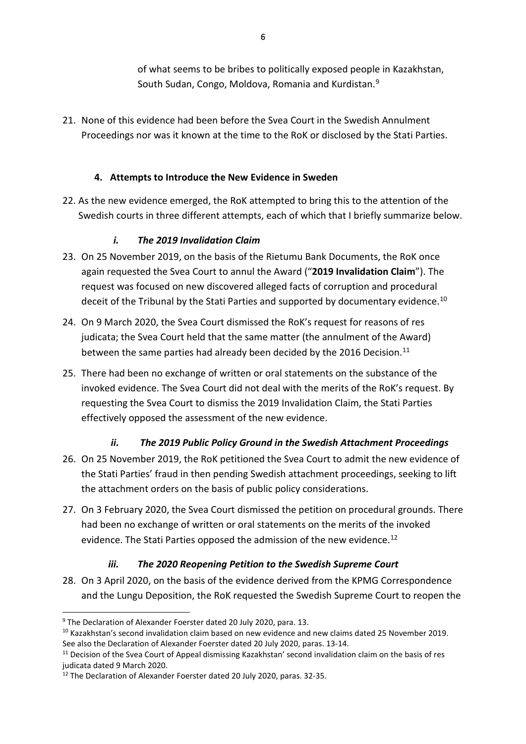of what seems to be bribes to politically exposed people in Kazakhstan, South Sudan, Congo, Moldova, Romania and Kurdistan.[9](#page-5-0)

21. None of this evidence had been before the Svea Court in the Swedish Annulment Proceedings nor was it known at the time to the RoK or disclosed by the Stati Parties.

# **4. Attempts to Introduce the New Evidence in Sweden**

22. As the new evidence emerged, the RoK attempted to bring this to the attention of the Swedish courts in three different attempts, each of which that I briefly summarize below.

# *i. The 2019 Invalidation Claim*

- 23. On 25 November 2019, on the basis of the Rietumu Bank Documents, the RoK once again requested the Svea Court to annul the Award ("**2019 Invalidation Claim**"). The request was focused on new discovered alleged facts of corruption and procedural deceit of the Tribunal by the Stati Parties and supported by documentary evidence.<sup>[10](#page-5-1)</sup>
- 24. On 9 March 2020, the Svea Court dismissed the RoK's request for reasons of res judicata; the Svea Court held that the same matter (the annulment of the Award) between the same parties had already been decided by the 2016 Decision.<sup>[11](#page-5-2)</sup>
- 25. There had been no exchange of written or oral statements on the substance of the invoked evidence. The Svea Court did not deal with the merits of the RoK's request. By requesting the Svea Court to dismiss the 2019 Invalidation Claim, the Stati Parties effectively opposed the assessment of the new evidence.

# *ii. The 2019 Public Policy Ground in the Swedish Attachment Proceedings*

- 26. On 25 November 2019, the RoK petitioned the Svea Court to admit the new evidence of the Stati Parties' fraud in then pending Swedish attachment proceedings, seeking to lift the attachment orders on the basis of public policy considerations.
- 27. On 3 February 2020, the Svea Court dismissed the petition on procedural grounds. There had been no exchange of written or oral statements on the merits of the invoked evidence. The Stati Parties opposed the admission of the new evidence.<sup>[12](#page-5-3)</sup>

# *iii. The 2020 Reopening Petition to the Swedish Supreme Court*

28. On 3 April 2020, on the basis of the evidence derived from the KPMG Correspondence and the Lungu Deposition, the RoK requested the Swedish Supreme Court to reopen the

<span id="page-5-0"></span><sup>&</sup>lt;sup>9</sup> The Declaration of Alexander Foerster dated 20 July 2020, para. 13.

<span id="page-5-1"></span><sup>&</sup>lt;sup>10</sup> Kazakhstan's second invalidation claim based on new evidence and new claims dated 25 November 2019. See also the Declaration of Alexander Foerster dated 20 July 2020, paras. 13-14.

<span id="page-5-2"></span> $11$  Decision of the Svea Court of Appeal dismissing Kazakhstan' second invalidation claim on the basis of res judicata dated 9 March 2020.

<span id="page-5-3"></span><sup>&</sup>lt;sup>12</sup> The Declaration of Alexander Foerster dated 20 July 2020, paras. 32-35.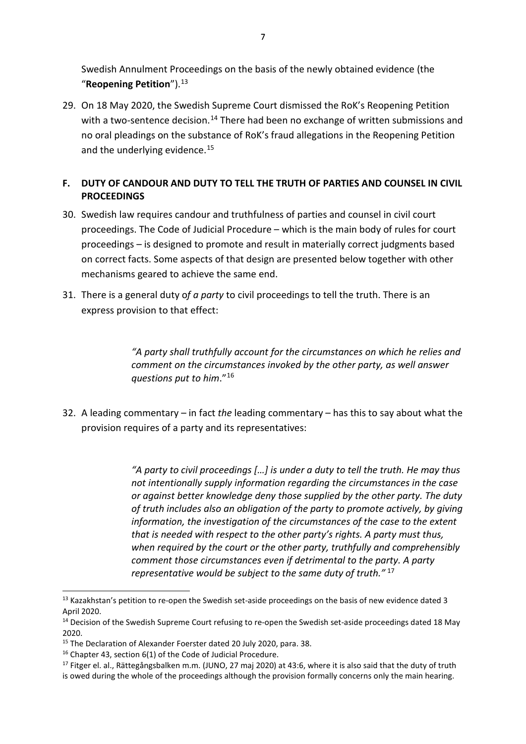Swedish Annulment Proceedings on the basis of the newly obtained evidence (the "**Reopening Petition**").[13](#page-6-0)

29. On 18 May 2020, the Swedish Supreme Court dismissed the RoK's Reopening Petition with a two-sentence decision.<sup>[14](#page-6-1)</sup> There had been no exchange of written submissions and no oral pleadings on the substance of RoK's fraud allegations in the Reopening Petition and the underlying evidence.<sup>[15](#page-6-2)</sup>

## **F. DUTY OF CANDOUR AND DUTY TO TELL THE TRUTH OF PARTIES AND COUNSEL IN CIVIL PROCEEDINGS**

- 30. Swedish law requires candour and truthfulness of parties and counsel in civil court proceedings. The Code of Judicial Procedure – which is the main body of rules for court proceedings – is designed to promote and result in materially correct judgments based on correct facts. Some aspects of that design are presented below together with other mechanisms geared to achieve the same end.
- 31. There is a general duty o*f a party* to civil proceedings to tell the truth. There is an express provision to that effect:

*"A party shall truthfully account for the circumstances on which he relies and comment on the circumstances invoked by the other party, as well answer questions put to him*."[16](#page-6-3)

32. A leading commentary – in fact *the* leading commentary – has this to say about what the provision requires of a party and its representatives:

> *"A party to civil proceedings […] is under a duty to tell the truth. He may thus not intentionally supply information regarding the circumstances in the case or against better knowledge deny those supplied by the other party. The duty of truth includes also an obligation of the party to promote actively, by giving information, the investigation of the circumstances of the case to the extent that is needed with respect to the other party's rights. A party must thus, when required by the court or the other party, truthfully and comprehensibly comment those circumstances even if detrimental to the party. A party representative would be subject to the same duty of truth."* [17](#page-6-4)

<span id="page-6-0"></span> $^{13}$  Kazakhstan's petition to re-open the Swedish set-aside proceedings on the basis of new evidence dated 3 April 2020.

<span id="page-6-1"></span><sup>&</sup>lt;sup>14</sup> Decision of the Swedish Supreme Court refusing to re-open the Swedish set-aside proceedings dated 18 May 2020.

<span id="page-6-2"></span><sup>&</sup>lt;sup>15</sup> The Declaration of Alexander Foerster dated 20 July 2020, para. 38.

<span id="page-6-3"></span><sup>&</sup>lt;sup>16</sup> Chapter 43, section 6(1) of the Code of Judicial Procedure.

<span id="page-6-4"></span><sup>&</sup>lt;sup>17</sup> Fitger el. al., Rättegångsbalken m.m. (JUNO, 27 maj 2020) at 43:6, where it is also said that the duty of truth is owed during the whole of the proceedings although the provision formally concerns only the main hearing.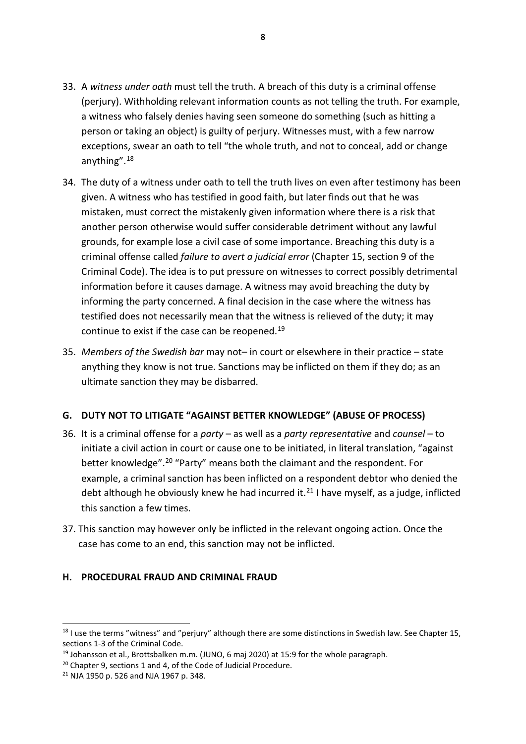- 33. A *witness under oath* must tell the truth. A breach of this duty is a criminal offense (perjury). Withholding relevant information counts as not telling the truth. For example, a witness who falsely denies having seen someone do something (such as hitting a person or taking an object) is guilty of perjury. Witnesses must, with a few narrow exceptions, swear an oath to tell "the whole truth, and not to conceal, add or change anything".[18](#page-7-0)
- 34. The duty of a witness under oath to tell the truth lives on even after testimony has been given. A witness who has testified in good faith, but later finds out that he was mistaken, must correct the mistakenly given information where there is a risk that another person otherwise would suffer considerable detriment without any lawful grounds, for example lose a civil case of some importance. Breaching this duty is a criminal offense called *failure to avert a judicial error* (Chapter 15, section 9 of the Criminal Code). The idea is to put pressure on witnesses to correct possibly detrimental information before it causes damage. A witness may avoid breaching the duty by informing the party concerned. A final decision in the case where the witness has testified does not necessarily mean that the witness is relieved of the duty; it may continue to exist if the case can be reopened.<sup>[19](#page-7-1)</sup>
- 35. *Members of the Swedish bar* may not– in court or elsewhere in their practice state anything they know is not true. Sanctions may be inflicted on them if they do; as an ultimate sanction they may be disbarred.

#### **G. DUTY NOT TO LITIGATE "AGAINST BETTER KNOWLEDGE" (ABUSE OF PROCESS)**

- 36. It is a criminal offense for a *party* as well as a *party representative* and *counsel* to initiate a civil action in court or cause one to be initiated, in literal translation, "against better knowledge".[20](#page-7-2) "Party" means both the claimant and the respondent. For example, a criminal sanction has been inflicted on a respondent debtor who denied the debt although he obviously knew he had incurred it.<sup>[21](#page-7-3)</sup> I have myself, as a judge, inflicted this sanction a few times.
- 37. This sanction may however only be inflicted in the relevant ongoing action. Once the case has come to an end, this sanction may not be inflicted.

#### **H. PROCEDURAL FRAUD AND CRIMINAL FRAUD**

<span id="page-7-0"></span><sup>&</sup>lt;sup>18</sup> I use the terms "witness" and "perjury" although there are some distinctions in Swedish law. See Chapter 15, sections 1-3 of the Criminal Code.

<span id="page-7-1"></span> $19$  Johansson et al., Brottsbalken m.m. (JUNO, 6 mai 2020) at 15:9 for the whole paragraph.

<span id="page-7-2"></span> $20$  Chapter 9, sections 1 and 4, of the Code of Judicial Procedure.

<span id="page-7-3"></span><sup>21</sup> NJA 1950 p. 526 and NJA 1967 p. 348.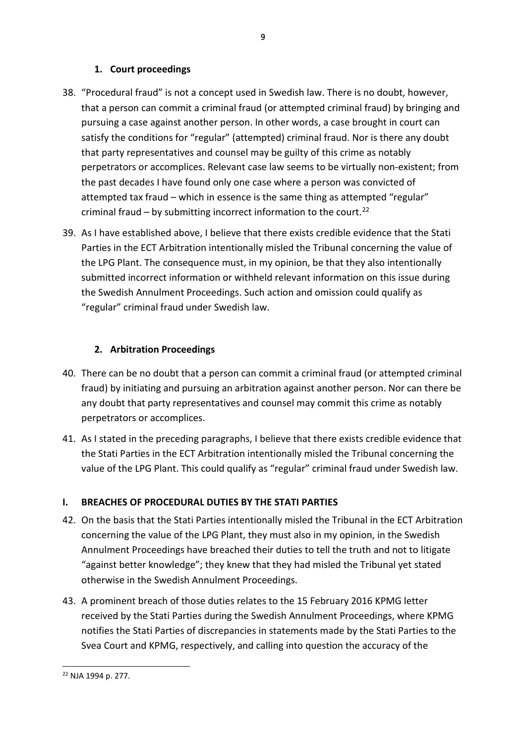### **1. Court proceedings**

- 38. "Procedural fraud" is not a concept used in Swedish law. There is no doubt, however, that a person can commit a criminal fraud (or attempted criminal fraud) by bringing and pursuing a case against another person. In other words, a case brought in court can satisfy the conditions for "regular" (attempted) criminal fraud. Nor is there any doubt that party representatives and counsel may be guilty of this crime as notably perpetrators or accomplices. Relevant case law seems to be virtually non-existent; from the past decades I have found only one case where a person was convicted of attempted tax fraud – which in essence is the same thing as attempted "regular" criminal fraud – by submitting incorrect information to the court.<sup>[22](#page-8-0)</sup>
- 39. As I have established above, I believe that there exists credible evidence that the Stati Parties in the ECT Arbitration intentionally misled the Tribunal concerning the value of the LPG Plant. The consequence must, in my opinion, be that they also intentionally submitted incorrect information or withheld relevant information on this issue during the Swedish Annulment Proceedings. Such action and omission could qualify as "regular" criminal fraud under Swedish law.

## **2. Arbitration Proceedings**

- 40. There can be no doubt that a person can commit a criminal fraud (or attempted criminal fraud) by initiating and pursuing an arbitration against another person. Nor can there be any doubt that party representatives and counsel may commit this crime as notably perpetrators or accomplices.
- 41. As I stated in the preceding paragraphs, I believe that there exists credible evidence that the Stati Parties in the ECT Arbitration intentionally misled the Tribunal concerning the value of the LPG Plant. This could qualify as "regular" criminal fraud under Swedish law.

# **I. BREACHES OF PROCEDURAL DUTIES BY THE STATI PARTIES**

- 42. On the basis that the Stati Parties intentionally misled the Tribunal in the ECT Arbitration concerning the value of the LPG Plant, they must also in my opinion, in the Swedish Annulment Proceedings have breached their duties to tell the truth and not to litigate "against better knowledge"; they knew that they had misled the Tribunal yet stated otherwise in the Swedish Annulment Proceedings.
- 43. A prominent breach of those duties relates to the 15 February 2016 KPMG letter received by the Stati Parties during the Swedish Annulment Proceedings, where KPMG notifies the Stati Parties of discrepancies in statements made by the Stati Parties to the Svea Court and KPMG, respectively, and calling into question the accuracy of the

 <sup>9</sup> 

<span id="page-8-0"></span>j <sup>22</sup> NJA 1994 p. 277.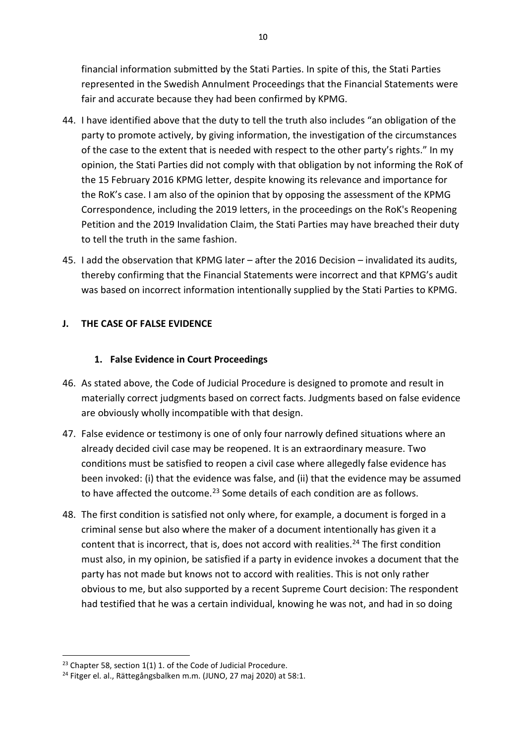financial information submitted by the Stati Parties. In spite of this, the Stati Parties represented in the Swedish Annulment Proceedings that the Financial Statements were fair and accurate because they had been confirmed by KPMG.

- 44. I have identified above that the duty to tell the truth also includes "an obligation of the party to promote actively, by giving information, the investigation of the circumstances of the case to the extent that is needed with respect to the other party's rights." In my opinion, the Stati Parties did not comply with that obligation by not informing the RoK of the 15 February 2016 KPMG letter, despite knowing its relevance and importance for the RoK's case. I am also of the opinion that by opposing the assessment of the KPMG Correspondence, including the 2019 letters, in the proceedings on the RoK's Reopening Petition and the 2019 Invalidation Claim, the Stati Parties may have breached their duty to tell the truth in the same fashion.
- 45. I add the observation that KPMG later after the 2016 Decision invalidated its audits, thereby confirming that the Financial Statements were incorrect and that KPMG's audit was based on incorrect information intentionally supplied by the Stati Parties to KPMG.

### **J. THE CASE OF FALSE EVIDENCE**

### **1. False Evidence in Court Proceedings**

- 46. As stated above, the Code of Judicial Procedure is designed to promote and result in materially correct judgments based on correct facts. Judgments based on false evidence are obviously wholly incompatible with that design.
- 47. False evidence or testimony is one of only four narrowly defined situations where an already decided civil case may be reopened. It is an extraordinary measure. Two conditions must be satisfied to reopen a civil case where allegedly false evidence has been invoked: (i) that the evidence was false, and (ii) that the evidence may be assumed to have affected the outcome.<sup>[23](#page-9-0)</sup> Some details of each condition are as follows.
- 48. The first condition is satisfied not only where, for example, a document is forged in a criminal sense but also where the maker of a document intentionally has given it a content that is incorrect, that is, does not accord with realities.<sup>[24](#page-9-1)</sup> The first condition must also, in my opinion, be satisfied if a party in evidence invokes a document that the party has not made but knows not to accord with realities. This is not only rather obvious to me, but also supported by a recent Supreme Court decision: The respondent had testified that he was a certain individual, knowing he was not, and had in so doing

<span id="page-9-0"></span><sup>-</sup> $23$  Chapter 58, section 1(1) 1. of the Code of Judicial Procedure.

<span id="page-9-1"></span><sup>&</sup>lt;sup>24</sup> Fitger el. al., Rättegångsbalken m.m. (JUNO, 27 maj 2020) at 58:1.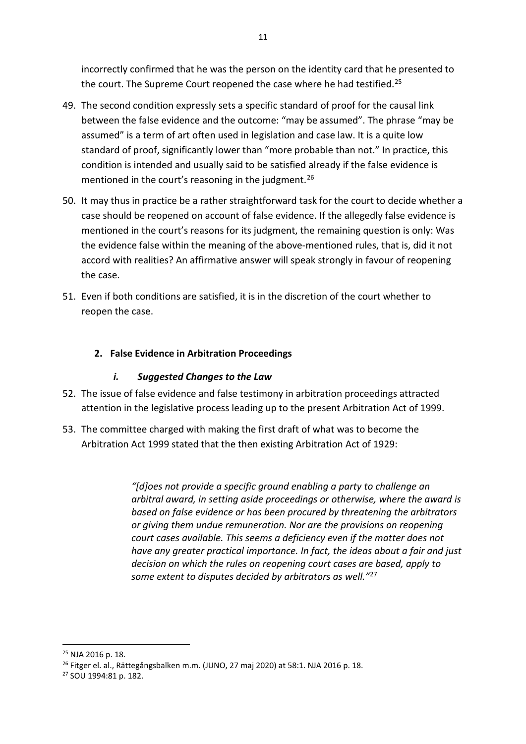incorrectly confirmed that he was the person on the identity card that he presented to the court. The Supreme Court reopened the case where he had testified.<sup>[25](#page-10-0)</sup>

- 49. The second condition expressly sets a specific standard of proof for the causal link between the false evidence and the outcome: "may be assumed". The phrase "may be assumed" is a term of art often used in legislation and case law. It is a quite low standard of proof, significantly lower than "more probable than not." In practice, this condition is intended and usually said to be satisfied already if the false evidence is mentioned in the court's reasoning in the judgment.<sup>[26](#page-10-1)</sup>
- 50. It may thus in practice be a rather straightforward task for the court to decide whether a case should be reopened on account of false evidence. If the allegedly false evidence is mentioned in the court's reasons for its judgment, the remaining question is only: Was the evidence false within the meaning of the above-mentioned rules, that is, did it not accord with realities? An affirmative answer will speak strongly in favour of reopening the case.
- 51. Even if both conditions are satisfied, it is in the discretion of the court whether to reopen the case.

## **2. False Evidence in Arbitration Proceedings**

### *i. Suggested Changes to the Law*

- 52. The issue of false evidence and false testimony in arbitration proceedings attracted attention in the legislative process leading up to the present Arbitration Act of 1999.
- 53. The committee charged with making the first draft of what was to become the Arbitration Act 1999 stated that the then existing Arbitration Act of 1929:

*"[d]oes not provide a specific ground enabling a party to challenge an arbitral award, in setting aside proceedings or otherwise, where the award is based on false evidence or has been procured by threatening the arbitrators or giving them undue remuneration. Nor are the provisions on reopening court cases available. This seems a deficiency even if the matter does not have any greater practical importance. In fact, the ideas about a fair and just decision on which the rules on reopening court cases are based, apply to some extent to disputes decided by arbitrators as well."*[27](#page-10-2)

<span id="page-10-0"></span><sup>25</sup> NJA 2016 p. 18.

<span id="page-10-1"></span><sup>26</sup> Fitger el. al., Rättegångsbalken m.m. (JUNO, 27 maj 2020) at 58:1. NJA 2016 p. 18.

<span id="page-10-2"></span><sup>27</sup> SOU 1994:81 p. 182.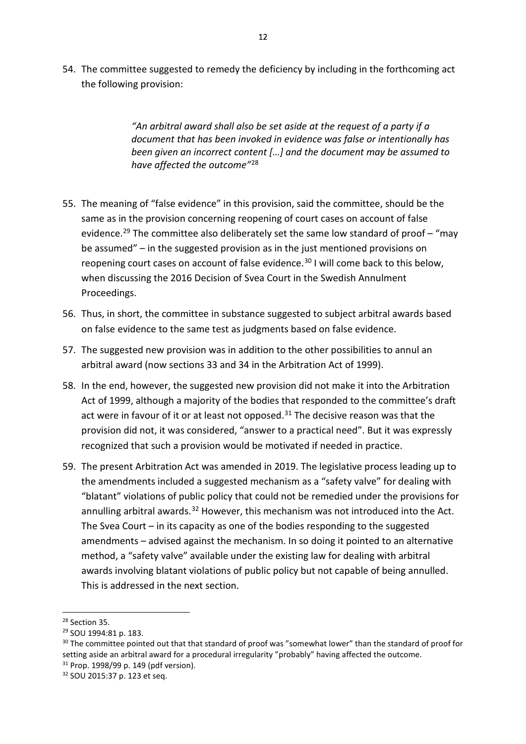54. The committee suggested to remedy the deficiency by including in the forthcoming act the following provision:

> *"An arbitral award shall also be set aside at the request of a party if a document that has been invoked in evidence was false or intentionally has been given an incorrect content […] and the document may be assumed to have affected the outcome"*[28](#page-11-0)

- 55. The meaning of "false evidence" in this provision, said the committee, should be the same as in the provision concerning reopening of court cases on account of false evidence.<sup>[29](#page-11-1)</sup> The committee also deliberately set the same low standard of proof - "may be assumed" – in the suggested provision as in the just mentioned provisions on reopening court cases on account of false evidence. [30](#page-11-2) I will come back to this below, when discussing the 2016 Decision of Svea Court in the Swedish Annulment Proceedings.
- 56. Thus, in short, the committee in substance suggested to subject arbitral awards based on false evidence to the same test as judgments based on false evidence.
- 57. The suggested new provision was in addition to the other possibilities to annul an arbitral award (now sections 33 and 34 in the Arbitration Act of 1999).
- 58. In the end, however, the suggested new provision did not make it into the Arbitration Act of 1999, although a majority of the bodies that responded to the committee's draft act were in favour of it or at least not opposed. $31$  The decisive reason was that the provision did not, it was considered, "answer to a practical need". But it was expressly recognized that such a provision would be motivated if needed in practice.
- 59. The present Arbitration Act was amended in 2019. The legislative process leading up to the amendments included a suggested mechanism as a "safety valve" for dealing with "blatant" violations of public policy that could not be remedied under the provisions for annulling arbitral awards.<sup>[32](#page-11-4)</sup> However, this mechanism was not introduced into the Act. The Svea Court – in its capacity as one of the bodies responding to the suggested amendments – advised against the mechanism. In so doing it pointed to an alternative method, a "safety valve" available under the existing law for dealing with arbitral awards involving blatant violations of public policy but not capable of being annulled. This is addressed in the next section.

<span id="page-11-0"></span><sup>28</sup> Section 35.

<span id="page-11-1"></span><sup>29</sup> SOU 1994:81 p. 183.

<span id="page-11-2"></span><sup>&</sup>lt;sup>30</sup> The committee pointed out that that standard of proof was "somewhat lower" than the standard of proof for setting aside an arbitral award for a procedural irregularity "probably" having affected the outcome.  $31$  Prop. 1998/99 p. 149 (pdf version).

<span id="page-11-3"></span>

<span id="page-11-4"></span><sup>32</sup> SOU 2015:37 p. 123 et seq.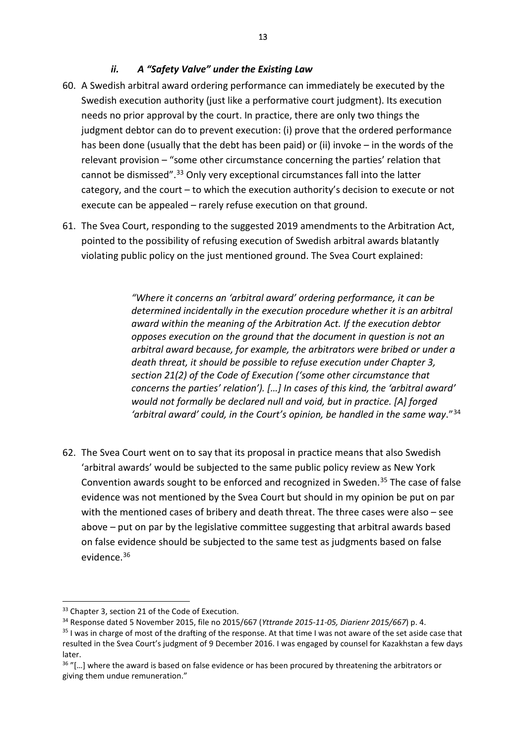### *ii. A "Safety Valve" under the Existing Law*

- 60. A Swedish arbitral award ordering performance can immediately be executed by the Swedish execution authority (just like a performative court judgment). Its execution needs no prior approval by the court. In practice, there are only two things the judgment debtor can do to prevent execution: (i) prove that the ordered performance has been done (usually that the debt has been paid) or (ii) invoke – in the words of the relevant provision – "some other circumstance concerning the parties' relation that cannot be dismissed".<sup>[33](#page-12-0)</sup> Only very exceptional circumstances fall into the latter category, and the court – to which the execution authority's decision to execute or not execute can be appealed – rarely refuse execution on that ground.
- 61. The Svea Court, responding to the suggested 2019 amendments to the Arbitration Act, pointed to the possibility of refusing execution of Swedish arbitral awards blatantly violating public policy on the just mentioned ground. The Svea Court explained:

*"Where it concerns an 'arbitral award' ordering performance, it can be determined incidentally in the execution procedure whether it is an arbitral award within the meaning of the Arbitration Act. If the execution debtor opposes execution on the ground that the document in question is not an arbitral award because, for example, the arbitrators were bribed or under a death threat, it should be possible to refuse execution under Chapter 3, section 21(2) of the Code of Execution ('some other circumstance that concerns the parties' relation'). […] In cases of this kind, the 'arbitral award' would not formally be declared null and void, but in practice. [A] forged 'arbitral award' could, in the Court's opinion, be handled in the same way*."[34](#page-12-1)

62. The Svea Court went on to say that its proposal in practice means that also Swedish 'arbitral awards' would be subjected to the same public policy review as New York Convention awards sought to be enforced and recognized in Sweden.[35](#page-12-2) The case of false evidence was not mentioned by the Svea Court but should in my opinion be put on par with the mentioned cases of bribery and death threat. The three cases were also – see above – put on par by the legislative committee suggesting that arbitral awards based on false evidence should be subjected to the same test as judgments based on false evidence[.36](#page-12-3)

<span id="page-12-0"></span><sup>&</sup>lt;sup>33</sup> Chapter 3, section 21 of the Code of Execution.

<span id="page-12-1"></span><sup>34</sup> Response dated 5 November 2015, file no 2015/667 (*Yttrande 2015-11-05, Diarienr 2015/667*) p. 4.

<span id="page-12-2"></span><sup>&</sup>lt;sup>35</sup> I was in charge of most of the drafting of the response. At that time I was not aware of the set aside case that resulted in the Svea Court's judgment of 9 December 2016. I was engaged by counsel for Kazakhstan a few days later.

<span id="page-12-3"></span> $36$  "[...] where the award is based on false evidence or has been procured by threatening the arbitrators or giving them undue remuneration."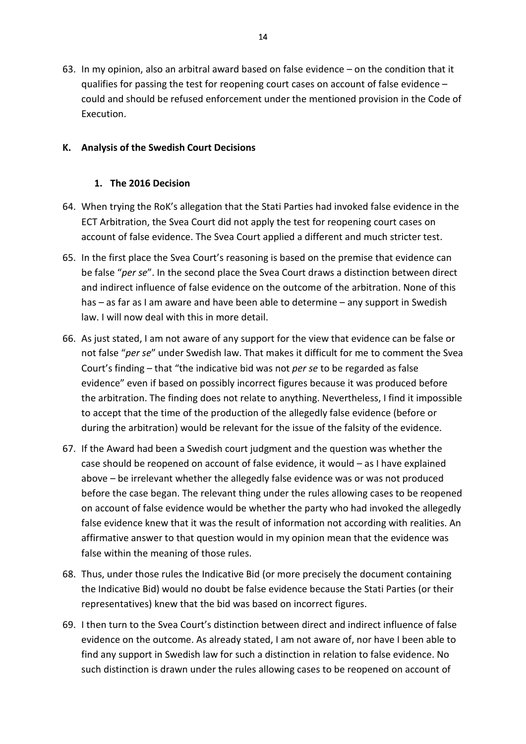63. In my opinion, also an arbitral award based on false evidence – on the condition that it qualifies for passing the test for reopening court cases on account of false evidence – could and should be refused enforcement under the mentioned provision in the Code of Execution.

### **K. Analysis of the Swedish Court Decisions**

### **1. The 2016 Decision**

- 64. When trying the RoK's allegation that the Stati Parties had invoked false evidence in the ECT Arbitration, the Svea Court did not apply the test for reopening court cases on account of false evidence. The Svea Court applied a different and much stricter test.
- 65. In the first place the Svea Court's reasoning is based on the premise that evidence can be false "*per se*". In the second place the Svea Court draws a distinction between direct and indirect influence of false evidence on the outcome of the arbitration. None of this has – as far as I am aware and have been able to determine – any support in Swedish law. I will now deal with this in more detail.
- 66. As just stated, I am not aware of any support for the view that evidence can be false or not false "*per se*" under Swedish law. That makes it difficult for me to comment the Svea Court's finding – that "the indicative bid was not *per se* to be regarded as false evidence" even if based on possibly incorrect figures because it was produced before the arbitration. The finding does not relate to anything. Nevertheless, I find it impossible to accept that the time of the production of the allegedly false evidence (before or during the arbitration) would be relevant for the issue of the falsity of the evidence.
- 67. If the Award had been a Swedish court judgment and the question was whether the case should be reopened on account of false evidence, it would – as I have explained above – be irrelevant whether the allegedly false evidence was or was not produced before the case began. The relevant thing under the rules allowing cases to be reopened on account of false evidence would be whether the party who had invoked the allegedly false evidence knew that it was the result of information not according with realities. An affirmative answer to that question would in my opinion mean that the evidence was false within the meaning of those rules.
- 68. Thus, under those rules the Indicative Bid (or more precisely the document containing the Indicative Bid) would no doubt be false evidence because the Stati Parties (or their representatives) knew that the bid was based on incorrect figures.
- 69. I then turn to the Svea Court's distinction between direct and indirect influence of false evidence on the outcome. As already stated, I am not aware of, nor have I been able to find any support in Swedish law for such a distinction in relation to false evidence. No such distinction is drawn under the rules allowing cases to be reopened on account of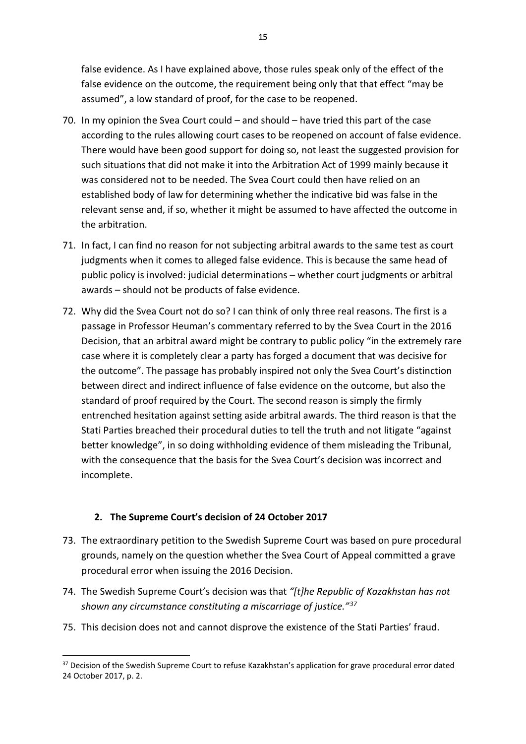false evidence. As I have explained above, those rules speak only of the effect of the false evidence on the outcome, the requirement being only that that effect "may be assumed", a low standard of proof, for the case to be reopened.

- 70. In my opinion the Svea Court could and should have tried this part of the case according to the rules allowing court cases to be reopened on account of false evidence. There would have been good support for doing so, not least the suggested provision for such situations that did not make it into the Arbitration Act of 1999 mainly because it was considered not to be needed. The Svea Court could then have relied on an established body of law for determining whether the indicative bid was false in the relevant sense and, if so, whether it might be assumed to have affected the outcome in the arbitration.
- 71. In fact, I can find no reason for not subjecting arbitral awards to the same test as court judgments when it comes to alleged false evidence. This is because the same head of public policy is involved: judicial determinations – whether court judgments or arbitral awards – should not be products of false evidence.
- 72. Why did the Svea Court not do so? I can think of only three real reasons. The first is a passage in Professor Heuman's commentary referred to by the Svea Court in the 2016 Decision, that an arbitral award might be contrary to public policy "in the extremely rare case where it is completely clear a party has forged a document that was decisive for the outcome". The passage has probably inspired not only the Svea Court's distinction between direct and indirect influence of false evidence on the outcome, but also the standard of proof required by the Court. The second reason is simply the firmly entrenched hesitation against setting aside arbitral awards. The third reason is that the Stati Parties breached their procedural duties to tell the truth and not litigate "against better knowledge", in so doing withholding evidence of them misleading the Tribunal, with the consequence that the basis for the Svea Court's decision was incorrect and incomplete.

### **2. The Supreme Court's decision of 24 October 2017**

- 73. The extraordinary petition to the Swedish Supreme Court was based on pure procedural grounds, namely on the question whether the Svea Court of Appeal committed a grave procedural error when issuing the 2016 Decision.
- 74. The Swedish Supreme Court's decision was that *"[t]he Republic of Kazakhstan has not shown any circumstance constituting a miscarriage of justice."[37](#page-14-0)*
- 75. This decision does not and cannot disprove the existence of the Stati Parties' fraud.

<span id="page-14-0"></span><sup>37</sup> Decision of the Swedish Supreme Court to refuse Kazakhstan's application for grave procedural error dated 24 October 2017, p. 2.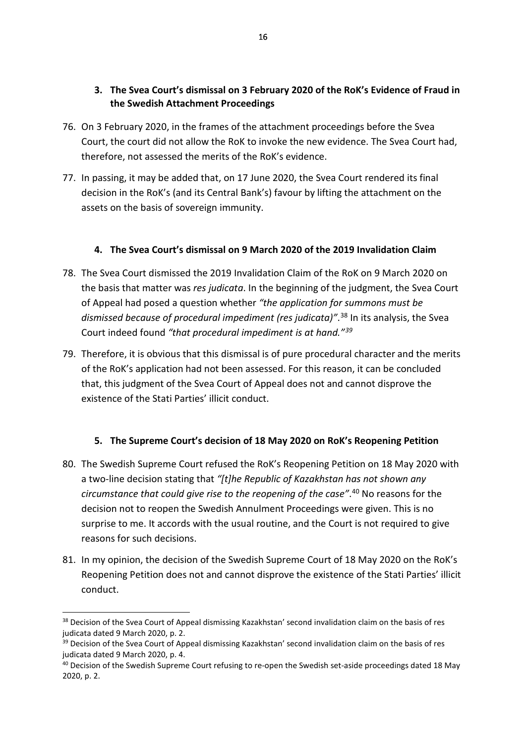## **3. The Svea Court's dismissal on 3 February 2020 of the RoK's Evidence of Fraud in the Swedish Attachment Proceedings**

- 76. On 3 February 2020, in the frames of the attachment proceedings before the Svea Court, the court did not allow the RoK to invoke the new evidence. The Svea Court had, therefore, not assessed the merits of the RoK's evidence.
- 77. In passing, it may be added that, on 17 June 2020, the Svea Court rendered its final decision in the RoK's (and its Central Bank's) favour by lifting the attachment on the assets on the basis of sovereign immunity.

### **4. The Svea Court's dismissal on 9 March 2020 of the 2019 Invalidation Claim**

- 78. The Svea Court dismissed the 2019 Invalidation Claim of the RoK on 9 March 2020 on the basis that matter was *res judicata*. In the beginning of the judgment, the Svea Court of Appeal had posed a question whether *"the application for summons must be dismissed because of procedural impediment (res judicata)"*. [38](#page-15-0) In its analysis, the Svea Court indeed found *"that procedural impediment is at hand."[39](#page-15-1)*
- 79. Therefore, it is obvious that this dismissal is of pure procedural character and the merits of the RoK's application had not been assessed. For this reason, it can be concluded that, this judgment of the Svea Court of Appeal does not and cannot disprove the existence of the Stati Parties' illicit conduct.

### **5. The Supreme Court's decision of 18 May 2020 on RoK's Reopening Petition**

- 80. The Swedish Supreme Court refused the RoK's Reopening Petition on 18 May 2020 with a two-line decision stating that *"[t]he Republic of Kazakhstan has not shown any circumstance that could give rise to the reopening of the case"*. [40](#page-15-2) No reasons for the decision not to reopen the Swedish Annulment Proceedings were given. This is no surprise to me. It accords with the usual routine, and the Court is not required to give reasons for such decisions.
- 81. In my opinion, the decision of the Swedish Supreme Court of 18 May 2020 on the RoK's Reopening Petition does not and cannot disprove the existence of the Stati Parties' illicit conduct.

<span id="page-15-0"></span><sup>&</sup>lt;sup>38</sup> Decision of the Svea Court of Appeal dismissing Kazakhstan' second invalidation claim on the basis of res judicata dated 9 March 2020, p. 2.

<span id="page-15-1"></span><sup>&</sup>lt;sup>39</sup> Decision of the Svea Court of Appeal dismissing Kazakhstan' second invalidation claim on the basis of res judicata dated 9 March 2020, p. 4.

<span id="page-15-2"></span><sup>&</sup>lt;sup>40</sup> Decision of the Swedish Supreme Court refusing to re-open the Swedish set-aside proceedings dated 18 May 2020, p. 2.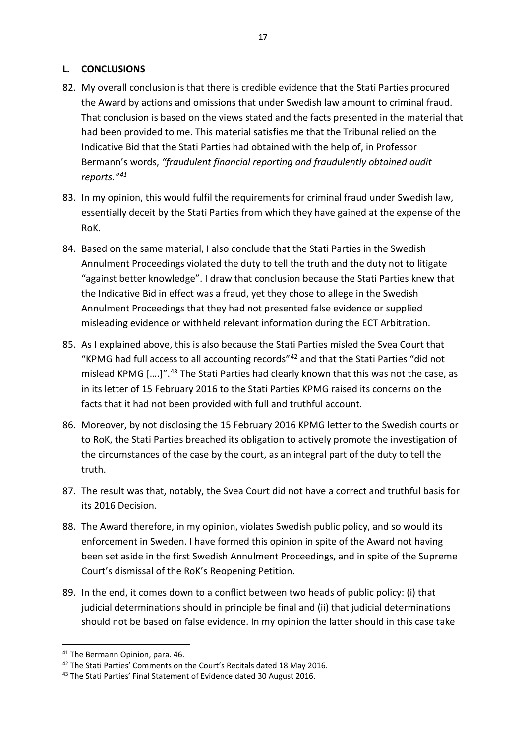#### **L. CONCLUSIONS**

- 82. My overall conclusion is that there is credible evidence that the Stati Parties procured the Award by actions and omissions that under Swedish law amount to criminal fraud. That conclusion is based on the views stated and the facts presented in the material that had been provided to me. This material satisfies me that the Tribunal relied on the Indicative Bid that the Stati Parties had obtained with the help of, in Professor Bermann's words, *"fraudulent financial reporting and fraudulently obtained audit reports."[41](#page-16-0)*
- 83. In my opinion, this would fulfil the requirements for criminal fraud under Swedish law, essentially deceit by the Stati Parties from which they have gained at the expense of the RoK.
- 84. Based on the same material, I also conclude that the Stati Parties in the Swedish Annulment Proceedings violated the duty to tell the truth and the duty not to litigate "against better knowledge". I draw that conclusion because the Stati Parties knew that the Indicative Bid in effect was a fraud, yet they chose to allege in the Swedish Annulment Proceedings that they had not presented false evidence or supplied misleading evidence or withheld relevant information during the ECT Arbitration.
- 85. As I explained above, this is also because the Stati Parties misled the Svea Court that "KPMG had full access to all accounting records"[42](#page-16-1) and that the Stati Parties "did not mislead KPMG [....]".<sup>[43](#page-16-2)</sup> The Stati Parties had clearly known that this was not the case, as in its letter of 15 February 2016 to the Stati Parties KPMG raised its concerns on the facts that it had not been provided with full and truthful account.
- 86. Moreover, by not disclosing the 15 February 2016 KPMG letter to the Swedish courts or to RoK, the Stati Parties breached its obligation to actively promote the investigation of the circumstances of the case by the court, as an integral part of the duty to tell the truth.
- 87. The result was that, notably, the Svea Court did not have a correct and truthful basis for its 2016 Decision.
- 88. The Award therefore, in my opinion, violates Swedish public policy, and so would its enforcement in Sweden. I have formed this opinion in spite of the Award not having been set aside in the first Swedish Annulment Proceedings, and in spite of the Supreme Court's dismissal of the RoK's Reopening Petition.
- 89. In the end, it comes down to a conflict between two heads of public policy: (i) that judicial determinations should in principle be final and (ii) that judicial determinations should not be based on false evidence. In my opinion the latter should in this case take

<sup>-</sup><sup>41</sup> The Bermann Opinion, para. 46.

<span id="page-16-1"></span><span id="page-16-0"></span><sup>&</sup>lt;sup>42</sup> The Stati Parties' Comments on the Court's Recitals dated 18 May 2016.

<span id="page-16-2"></span><sup>43</sup> The Stati Parties' Final Statement of Evidence dated 30 August 2016.